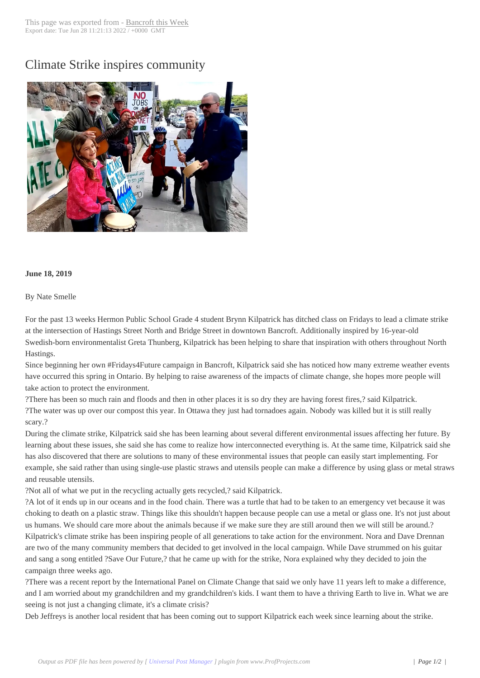## Climate Strike insp[ires commun](http://www.bancroftthisweek.com/?p=9828)ity



## **June 18, 2019**

## By Nate Smelle

For the past 13 weeks Hermon Public School Grade 4 student Brynn Kilpatrick has ditched class on Fridays to lead a climate strike at the intersection of Hastings Street North and Bridge Street in downtown Bancroft. Additionally inspired by 16-year-old Swedish-born environmentalist Greta Thunberg, Kilpatrick has been helping to share that inspiration with others throughout North Hastings.

Since beginning her own #Fridays4Future campaign in Bancroft, Kilpatrick said she has noticed how many extreme weather events have occurred this spring in Ontario. By helping to raise awareness of the impacts of climate change, she hopes more people will take action to protect the environment.

?There has been so much rain and floods and then in other places it is so dry they are having forest fires,? said Kilpatrick. ?The water was up over our compost this year. In Ottawa they just had tornadoes again. Nobody was killed but it is still really scary.?

During the climate strike, Kilpatrick said she has been learning about several different environmental issues affecting her future. By learning about these issues, she said she has come to realize how interconnected everything is. At the same time, Kilpatrick said she has also discovered that there are solutions to many of these environmental issues that people can easily start implementing. For example, she said rather than using single-use plastic straws and utensils people can make a difference by using glass or metal straws and reusable utensils.

?Not all of what we put in the recycling actually gets recycled,? said Kilpatrick.

?A lot of it ends up in our oceans and in the food chain. There was a turtle that had to be taken to an emergency vet because it was choking to death on a plastic straw. Things like this shouldn't happen because people can use a metal or glass one. It's not just about us humans. We should care more about the animals because if we make sure they are still around then we will still be around.? Kilpatrick's climate strike has been inspiring people of all generations to take action for the environment. Nora and Dave Drennan are two of the many community members that decided to get involved in the local campaign. While Dave strummed on his guitar and sang a song entitled ?Save Our Future,? that he came up with for the strike, Nora explained why they decided to join the campaign three weeks ago.

?There was a recent report by the International Panel on Climate Change that said we only have 11 years left to make a difference, and I am worried about my grandchildren and my grandchildren's kids. I want them to have a thriving Earth to live in. What we are seeing is not just a changing climate, it's a climate crisis?

Deb Jeffreys is another local resident that has been coming out to support Kilpatrick each week since learning about the strike.